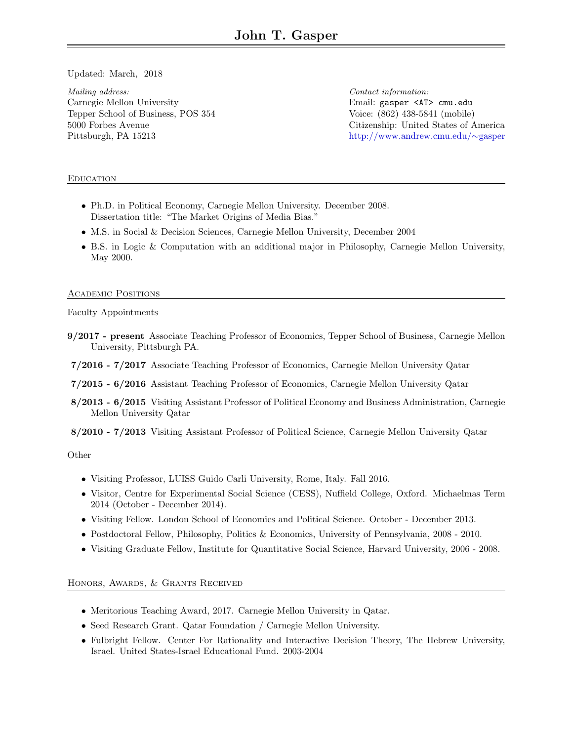<span id="page-0-0"></span>Updated: March, 2018

Mailing address: Carnegie Mellon University Tepper School of Business, POS 354 5000 Forbes Avenue Pittsburgh, PA 15213

Contact information: Email: gasper <AT> cmu.edu Voice: (862) 438-5841 (mobile) Citizenship: United States of America [http://www.andrew.cmu.edu/](http://www.andrew.cmu.edu/~gasper)∼gasper

## **EDUCATION**

- Ph.D. in Political Economy, Carnegie Mellon University. December 2008. Dissertation title: "The Market Origins of Media Bias."
- M.S. in Social & Decision Sciences, Carnegie Mellon University, December 2004
- B.S. in Logic & Computation with an additional major in Philosophy, Carnegie Mellon University, May 2000.

## ACADEMIC POSITIONS

Faculty Appointments

- 9/2017 present Associate Teaching Professor of Economics, Tepper School of Business, Carnegie Mellon University, Pittsburgh PA.
- 7/2016 7/2017 Associate Teaching Professor of Economics, Carnegie Mellon University Qatar
- 7/2015 6/2016 Assistant Teaching Professor of Economics, Carnegie Mellon University Qatar
- 8/2013 6/2015 Visiting Assistant Professor of Political Economy and Business Administration, Carnegie Mellon University Qatar

8/2010 - 7/2013 Visiting Assistant Professor of Political Science, Carnegie Mellon University Qatar

## **Other**

- Visiting Professor, LUISS Guido Carli University, Rome, Italy. Fall 2016.
- Visitor, Centre for Experimental Social Science (CESS), Nuffield College, Oxford. Michaelmas Term 2014 (October - December 2014).
- Visiting Fellow. London School of Economics and Political Science. October December 2013.
- Postdoctoral Fellow, Philosophy, Politics & Economics, University of Pennsylvania, 2008 2010.
- Visiting Graduate Fellow, Institute for Quantitative Social Science, Harvard University, 2006 2008.

Honors, Awards, & Grants Received

- Meritorious Teaching Award, 2017. Carnegie Mellon University in Qatar.
- Seed Research Grant. Qatar Foundation / Carnegie Mellon University.
- Fulbright Fellow. Center For Rationality and Interactive Decision Theory, The Hebrew University, Israel. United States-Israel Educational Fund. 2003-2004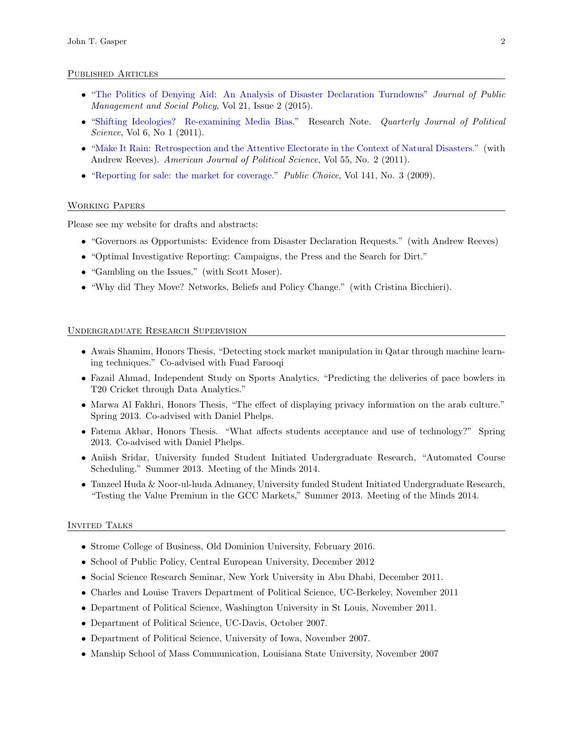#### Published Articles

- ["The Politics of Denying Aid: An Analysis of Disaster Declaration Turndowns"](http://www.andrew.cmu.edu/user/gasper/WorkingPapers/turndowns.pdf) Journal of Public Management and Social Policy, Vol 21, Issue 2 (2015).
- ["Shifting Ideologies? Re-examining Media Bias."](http://www.nowpublishers.com/article/Details/QJPS-10006) Research Note. Quarterly Journal of Political Science, Vol 6, No 1 (2011).
- ["Make It Rain: Retrospection and the Attentive Electorate in the Context of Natural Disasters."](http://onlinelibrary.wiley.com/doi/10.1111/j.1540-5907.2010.00503.x/pdf) (with Andrew Reeves). American Journal of Political Science, Vol 55, No. 2 (2011).
- ["Reporting for sale: the market for coverage."](http://www.springerlink.com/content/w3p0v275q1501512/) *Public Choice*, Vol 141, No. 3 (2009).

## Working Papers

Please see my website for drafts and abstracts:

- "Governors as Opportunists: Evidence from Disaster Declaration Requests." (with Andrew Reeves)
- "Optimal Investigative Reporting: Campaigns, the Press and the Search for Dirt."
- "Gambling on the Issues." (with Scott Moser).
- "Why did They Move? Networks, Beliefs and Policy Change." (with Cristina Bicchieri).

#### Undergraduate Research Supervision

- Awais Shamim, Honors Thesis, "Detecting stock market manipulation in Qatar through machine learning techniques." Co-advised with Fuad Farooqi
- Fazail Ahmad, Independent Study on Sports Analytics, "Predicting the deliveries of pace bowlers in T20 Cricket through Data Analytics."
- Marwa Al Fakhri, Honors Thesis, "The effect of displaying privacy information on the arab culture." Spring 2013. Co-advised with Daniel Phelps.
- Fatema Akbar, Honors Thesis. "What affects students acceptance and use of technology?" Spring 2013. Co-advised with Daniel Phelps.
- Aniish Sridar, University funded Student Initiated Undergraduate Research, "Automated Course Scheduling." Summer 2013. Meeting of the Minds 2014.
- Tanzeel Huda & Noor-ul-huda Admaney, University funded Student Initiated Undergraduate Research, "Testing the Value Premium in the GCC Markets," Summer 2013. Meeting of the Minds 2014.

#### INVITED TALKS

- Strome College of Business, Old Dominion University, February 2016.
- School of Public Policy, Central European University, December 2012
- Social Science Research Seminar, New York University in Abu Dhabi, December 2011.
- Charles and Louise Travers Department of Political Science, UC-Berkeley, November 2011
- Department of Political Science, Washington University in St Louis, November 2011.
- Department of Political Science, UC-Davis, October 2007.
- Department of Political Science, University of Iowa, November 2007.
- Manship School of Mass Communication, Louisiana State University, November 2007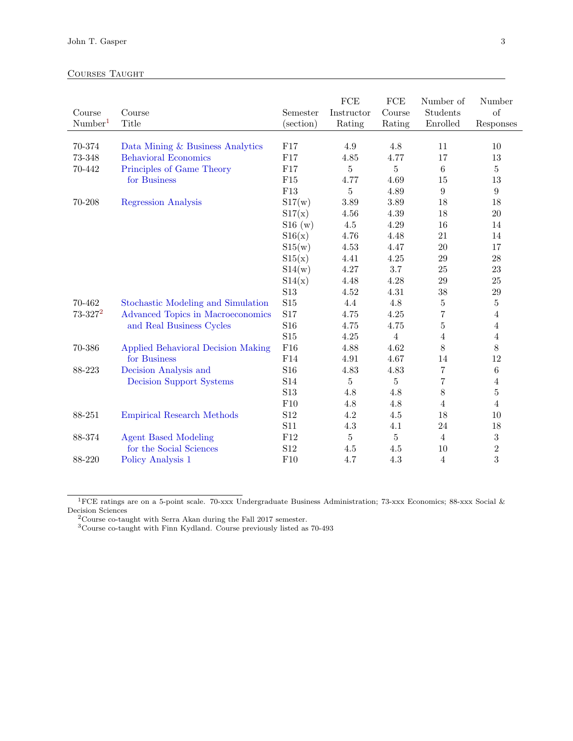# Courses Taught

| Course<br>Number <sup>1</sup> | Course<br>Title                    | Semester<br>(section) | ${\rm FCE}$<br>Instructor<br>Rating | <b>FCE</b><br>Course<br>Rating | Number of<br>Students<br>Enrolled | Number<br>of<br>Responses |
|-------------------------------|------------------------------------|-----------------------|-------------------------------------|--------------------------------|-----------------------------------|---------------------------|
| 70-374                        | Data Mining & Business Analytics   | F17                   | 4.9                                 | 4.8                            | 11                                | 10                        |
| 73-348                        | <b>Behavioral Economics</b>        | F17                   | 4.85                                | 4.77                           | 17                                | 13                        |
| 70-442                        | Principles of Game Theory          | F17                   | 5                                   | $\overline{5}$                 | $\,6\,$                           | $\bf 5$                   |
|                               | for Business                       | ${\rm F}15$           | 4.77                                | 4.69                           | 15                                | $13\,$                    |
|                               |                                    | F13                   | $\overline{5}$                      | 4.89                           | $\boldsymbol{9}$                  | $\boldsymbol{9}$          |
| 70-208                        | <b>Regression Analysis</b>         | S17(w)                | 3.89                                | 3.89                           | 18                                | 18                        |
|                               |                                    | S17(x)                | 4.56                                | 4.39                           | 18                                | $20\,$                    |
|                               |                                    | S16(w)                | $4.5\,$                             | 4.29                           | 16                                | 14                        |
|                               |                                    |                       | 4.76                                | 4.48                           | 21                                | 14                        |
|                               |                                    | S16(x)                | 4.53                                | 4.47                           | 20                                | 17                        |
|                               |                                    | S15(w)                |                                     |                                |                                   |                           |
|                               |                                    | S15(x)                | 4.41                                | 4.25                           | 29                                | 28                        |
|                               |                                    | S14(w)                | 4.27                                | 3.7                            | 25                                | $23\,$                    |
|                               |                                    | S14(x)                | 4.48                                | 4.28                           | 29                                | 25                        |
|                               |                                    | S13                   | 4.52                                | 4.31                           | 38                                | 29                        |
| 70-462                        | Stochastic Modeling and Simulation | S <sub>15</sub>       | 4.4                                 | 4.8                            | $\bf 5$                           | $\bf 5$                   |
| $73 - 327^2$                  | Advanced Topics in Macroeconomics  | S17                   | 4.75                                | 4.25                           | $\overline{7}$                    | $\overline{4}$            |
|                               | and Real Business Cycles           | S16                   | 4.75                                | 4.75                           | $\bf 5$                           | $\overline{4}$            |
|                               |                                    | <b>S15</b>            | 4.25                                | $\overline{4}$                 | $\overline{4}$                    | $\overline{4}$            |
| 70-386                        | Applied Behavioral Decision Making | F16                   | 4.88                                | 4.62                           | $8\,$                             | 8                         |
|                               | for Business                       | F14                   | 4.91                                | 4.67                           | 14                                | 12                        |
| 88-223                        | Decision Analysis and              | S16                   | 4.83                                | 4.83                           | $\overline{7}$                    | $\,6\,$                   |
|                               | <b>Decision Support Systems</b>    | S14                   | 5                                   | $\bf 5$                        | $\overline{7}$                    | $\overline{4}$            |
|                               |                                    | S13                   | 4.8                                 | $4.8\,$                        | $8\,$                             | $\bf 5$                   |
|                               |                                    | F10                   | 4.8                                 | $4.8\,$                        | 4                                 | $\overline{4}$            |
| 88-251                        | <b>Empirical Research Methods</b>  | S12                   | 4.2                                 | $4.5\,$                        | 18                                | 10                        |
|                               |                                    | S <sub>11</sub>       | 4.3                                 | 4.1                            | 24                                | 18                        |
| 88-374                        | <b>Agent Based Modeling</b>        | F12                   | 5                                   | 5                              | $\overline{4}$                    | $\sqrt{3}$                |
|                               | for the Social Sciences            | S <sub>12</sub>       | 4.5                                 | 4.5                            | 10                                | $\sqrt{2}$                |
| 88-220                        | Policy Analysis 1                  | F10                   | 4.7                                 | 4.3                            | $\overline{4}$                    | 3                         |

<sup>1</sup>FCE ratings are on a 5-point scale. 70-xxx Undergraduate Business Administration; 73-xxx Economics; 88-xxx Social & Decision Sciences

<sup>2</sup>Course co-taught with Serra Akan during the Fall 2017 semester.

<sup>3</sup>Course co-taught with Finn Kydland. Course previously listed as 70-493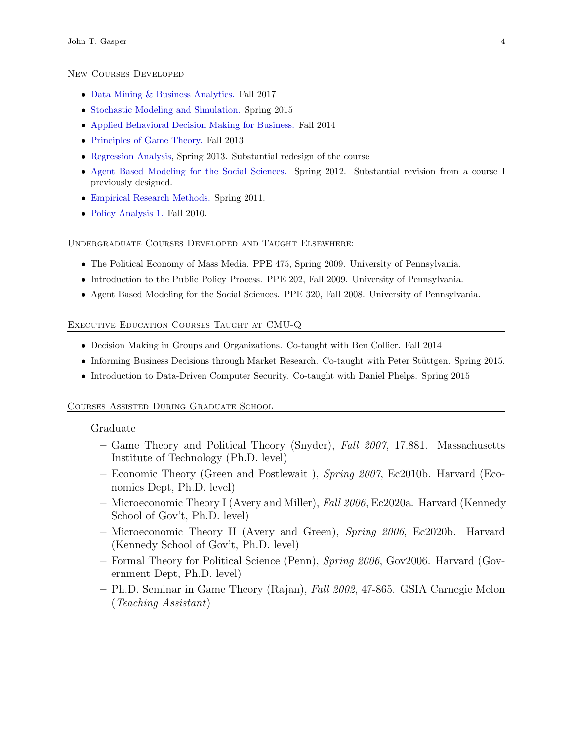#### New Courses Developed

- [Data Mining & Business Analytics.](http://www.andrew.cmu.edu/user/gasper/Syllabus.BusAnalytics.pdf) Fall 2017
- [Stochastic Modeling and Simulation.](http://www.andrew.cmu.edu/user/gasper/StochasticSyllabus.pdf) Spring 2015
- [Applied Behavioral Decision Making for Business.](http://www.andrew.cmu.edu/user/gasper/BDM4B_syllabus.pdf) Fall 2014
- [Principles of Game Theory.](http://www.andrew.cmu.edu/user/gasper/GTBsyllabus.pdf) Fall 2013
- [Regression Analysis,](http://www.andrew.cmu.edu/user/gasper/Syllabus.Regression2017.pdf) Spring 2013. Substantial redesign of the course
- [Agent Based Modeling for the Social Sciences.](http://www.andrew.cmu.edu/user/gasper/ABM.2012.Syllabus.pdf) Spring 2012. Substantial revision from a course I previously designed.
- [Empirical Research Methods.](http://www.andrew.cmu.edu/user/gasper/ERM.2012.syllabus.pdf) Spring 2011.
- [Policy Analysis 1.](http://www.andrew.cmu.edu/user/gasper/syllabus.PolicyAnalysis1.pdf) Fall 2010.

#### Undergraduate Courses Developed and Taught Elsewhere:

- The Political Economy of Mass Media. PPE 475, Spring 2009. University of Pennsylvania.
- Introduction to the Public Policy Process. PPE 202, Fall 2009. University of Pennsylvania.
- Agent Based Modeling for the Social Sciences. PPE 320, Fall 2008. University of Pennsylvania.

#### Executive Education Courses Taught at CMU-Q

- Decision Making in Groups and Organizations. Co-taught with Ben Collier. Fall 2014
- Informing Business Decisions through Market Research. Co-taught with Peter Stüttgen. Spring 2015.
- Introduction to Data-Driven Computer Security. Co-taught with Daniel Phelps. Spring 2015

## Courses Assisted During Graduate School

#### Graduate

- Game Theory and Political Theory (Snyder), Fall  $2007$ , 17.881. Massachusetts Institute of Technology (Ph.D. level)
- Economic Theory (Green and Postlewait ), Spring 2007, Ec2010b. Harvard (Economics Dept, Ph.D. level)
- Microeconomic Theory I (Avery and Miller), Fall 2006, Ec2020a. Harvard (Kennedy School of Gov't, Ph.D. level)
- Microeconomic Theory II (Avery and Green), Spring 2006, Ec2020b. Harvard (Kennedy School of Gov't, Ph.D. level)
- Formal Theory for Political Science (Penn), Spring 2006, Gov2006. Harvard (Government Dept, Ph.D. level)
- Ph.D. Seminar in Game Theory (Rajan), Fall 2002, 47-865. GSIA Carnegie Melon (Teaching Assistant)